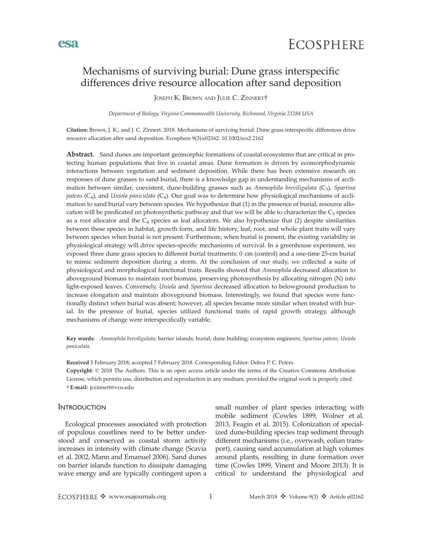

# Mechanisms of surviving burial: Dune grass interspecific differences drive resource allocation after sand deposition

JOSEPH K. BROWN AND JULIE C. ZINNERTT

Department of Biology, Virginia Commonwealth University, Richmond, Virginia 23284 USA

Citation: Brown, J. K., and J. C. Zinnert. 2018. Mechanisms of surviving burial: Dune grass interspecific differences drive resource allocation after sand deposition. Ecosphere 9(3):e02162. [10.1002/ecs2.2162](info:doi/10.1002/ecs2.2162)

Abstract. Sand dunes are important geomorphic formations of coastal ecosystems that are critical in protecting human populations that live in coastal areas. Dune formation is driven by ecomorphodynamic interactions between vegetation and sediment deposition. While there has been extensive research on responses of dune grasses to sand burial, there is a knowledge gap in understanding mechanisms of acclimation between similar, coexistent, dune-building grasses such as Ammophila breviligulata  $(C_3)$ , Spartina patens  $(C_4)$ , and Uniola paniculata  $(C_4)$ . Our goal was to determine how physiological mechanisms of acclimation to sand burial vary between species. We hypothesize that (1) in the presence of burial, resource allocation will be predicated on photosynthetic pathway and that we will be able to characterize the  $C_3$  species as a root allocator and the  $C_4$  species as leaf allocators. We also hypothesize that (2) despite similarities between these species in habitat, growth form, and life history, leaf, root, and whole plant traits will vary between species when burial is not present. Furthermore, when burial is present, the existing variability in physiological strategy will drive species-specific mechanisms of survival. In a greenhouse experiment, we exposed three dune grass species to different burial treatments: 0 cm (control) and a one-time 25-cm burial to mimic sediment deposition during a storm. At the conclusion of our study, we collected a suite of physiological and morphological functional traits. Results showed that Ammophila decreased allocation to aboveground biomass to maintain root biomass, preserving photosynthesis by allocating nitrogen (N) into light-exposed leaves. Conversely, Uniola and Spartina decreased allocation to belowground production to increase elongation and maintain aboveground biomass. Interestingly, we found that species were functionally distinct when burial was absent; however, all species became more similar when treated with burial. In the presence of burial, species utilized functional traits of rapid growth strategy, although mechanisms of change were interspecifically variable.

Key words: Ammophila breviligulata; barrier islands; burial; dune building; ecosystem engineers; Spartina patens; Uniola paniculata.

Received 5 February 2018; accepted 7 February 2018. Corresponding Editor: Debra P. C. Peters. Copyright: © 2018 The Authors. This is an open access article under the terms of the [Creative Commons Attribution](http://creativecommons.org/licenses/by/3.0/) License, which permits use, distribution and reproduction in any medium, provided the original work is properly cited. E-mail: jczinnert@vcu.edu

### **INTRODUCTION**

Ecological processes associated with protection of populous coastlines need to be better understood and conserved as coastal storm activity increases in intensity with climate change (Scavia et al. 2002, Mann and Emanuel 2006). Sand dunes on barrier islands function to dissipate damaging wave energy and are typically contingent upon a small number of plant species interacting with mobile sediment (Cowles 1899, Wolner et al. 2013, Feagin et al. 2015). Colonization of specialized dune-building species trap sediment through different mechanisms (i.e., overwash, eolian transport), causing sand accumulation at high volumes around plants, resulting in dune formation over time (Cowles 1899, Vinent and Moore 2013). It is critical to understand the physiological and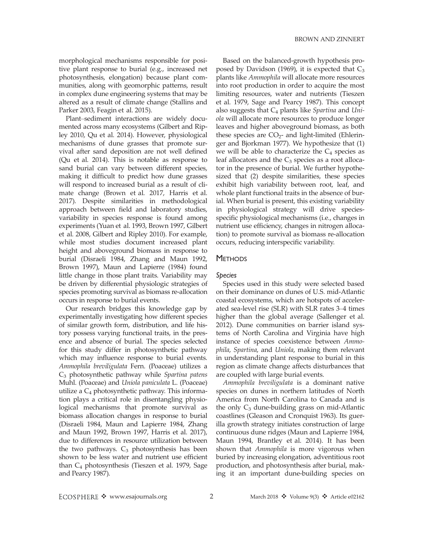morphological mechanisms responsible for positive plant response to burial (e.g., increased net photosynthesis, elongation) because plant communities, along with geomorphic patterns, result in complex dune engineering systems that may be altered as a result of climate change (Stallins and Parker 2003, Feagin et al. 2015).

Plant–sediment interactions are widely documented across many ecosystems (Gilbert and Ripley 2010, Qu et al. 2014). However, physiological mechanisms of dune grasses that promote survival after sand deposition are not well defined (Qu et al. 2014). This is notable as response to sand burial can vary between different species, making it difficult to predict how dune grasses will respond to increased burial as a result of climate change (Brown et al. 2017, Harris et al. 2017). Despite similarities in methodological approach between field and laboratory studies, variability in species response is found among experiments (Yuan et al. 1993, Brown 1997, Gilbert et al. 2008, Gilbert and Ripley 2010). For example, while most studies document increased plant height and aboveground biomass in response to burial (Disraeli 1984, Zhang and Maun 1992, Brown 1997), Maun and Lapierre (1984) found little change in those plant traits. Variability may be driven by differential physiologic strategies of species promoting survival as biomass re-allocation occurs in response to burial events.

Our research bridges this knowledge gap by experimentally investigating how different species of similar growth form, distribution, and life history possess varying functional traits, in the presence and absence of burial. The species selected for this study differ in photosynthetic pathway which may influence response to burial events. Ammophila breviligulata Fern. (Poaceae) utilizes a  $C_3$  photosynthetic pathway while Spartina patens Muhl. (Poaceae) and Uniola paniculata L. (Poaceae) utilize a  $C_4$  photosynthetic pathway. This information plays a critical role in disentangling physiological mechanisms that promote survival as biomass allocation changes in response to burial (Disraeli 1984, Maun and Lapierre 1984, Zhang and Maun 1992, Brown 1997, Harris et al. 2017), due to differences in resource utilization between the two pathways.  $C_3$  photosynthesis has been shown to be less water and nutrient use efficient than  $C_4$  photosynthesis (Tieszen et al. 1979, Sage and Pearcy 1987).

Based on the balanced-growth hypothesis proposed by Davidson (1969), it is expected that  $C_3$ plants like Ammophila will allocate more resources into root production in order to acquire the most limiting resources, water and nutrients (Tieszen et al. 1979, Sage and Pearcy 1987). This concept also suggests that  $C_4$  plants like Spartina and Uniola will allocate more resources to produce longer leaves and higher aboveground biomass, as both these species are  $CO<sub>2</sub>$ - and light-limited (Ehleringer and Bjorkman 1977). We hypothesize that (1) we will be able to characterize the  $C_4$  species as leaf allocators and the  $C_3$  species as a root allocator in the presence of burial. We further hypothesized that (2) despite similarities, these species exhibit high variability between root, leaf, and whole plant functional traits in the absence of burial. When burial is present, this existing variability in physiological strategy will drive speciesspecific physiological mechanisms (i.e., changes in nutrient use efficiency, changes in nitrogen allocation) to promote survival as biomass re-allocation occurs, reducing interspecific variability.

### **METHODS**

#### Species

Species used in this study were selected based on their dominance on dunes of U.S. mid-Atlantic coastal ecosystems, which are hotspots of accelerated sea-level rise (SLR) with SLR rates 3–4 times higher than the global average (Sallenger et al. 2012). Dune communities on barrier island systems of North Carolina and Virginia have high instance of species coexistence between Ammophila, Spartina, and Uniola, making them relevant in understanding plant response to burial in this region as climate change affects disturbances that are coupled with large burial events.

Ammophila breviligulata is a dominant native species on dunes in northern latitudes of North America from North Carolina to Canada and is the only  $C_3$  dune-building grass on mid-Atlantic coastlines (Gleason and Cronquist 1963). Its guerilla growth strategy initiates construction of large continuous dune ridges (Maun and Lapierre 1984, Maun 1994, Brantley et al. 2014). It has been shown that *Ammophila* is more vigorous when buried by increasing elongation, adventitious root production, and photosynthesis after burial, making it an important dune-building species on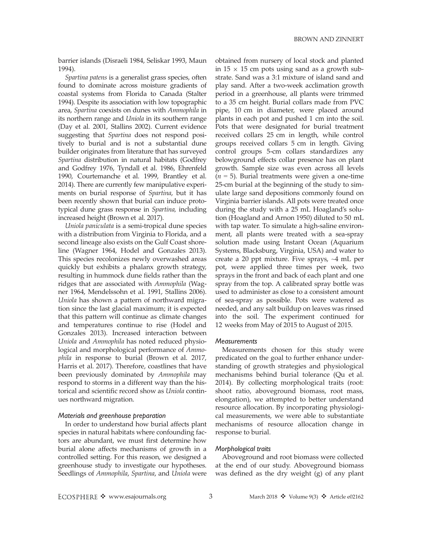barrier islands (Disraeli 1984, Seliskar 1993, Maun 1994).

Spartina patens is a generalist grass species, often found to dominate across moisture gradients of coastal systems from Florida to Canada (Stalter 1994). Despite its association with low topographic area, Spartina coexists on dunes with Ammophila in its northern range and Uniola in its southern range (Day et al. 2001, Stallins 2002). Current evidence suggesting that Spartina does not respond positively to burial and is not a substantial dune builder originates from literature that has surveyed Spartina distribution in natural habitats (Godfrey and Godfrey 1976, Tyndall et al. 1986, Ehrenfeld 1990, Courtemanche et al. 1999, Brantley et al. 2014). There are currently few manipulative experiments on burial response of Spartina, but it has been recently shown that burial can induce prototypical dune grass response in Spartina, including increased height (Brown et al. 2017).

Uniola paniculata is a semi-tropical dune species with a distribution from Virginia to Florida, and a second lineage also exists on the Gulf Coast shoreline (Wagner 1964, Hodel and Gonzales 2013). This species recolonizes newly overwashed areas quickly but exhibits a phalanx growth strategy, resulting in hummock dune fields rather than the ridges that are associated with Ammophila (Wagner 1964, Mendelssohn et al. 1991, Stallins 2006). Uniola has shown a pattern of northward migration since the last glacial maximum; it is expected that this pattern will continue as climate changes and temperatures continue to rise (Hodel and Gonzales 2013). Increased interaction between Uniola and Ammophila has noted reduced physiological and morphological performance of Ammophila in response to burial (Brown et al. 2017, Harris et al. 2017). Therefore, coastlines that have been previously dominated by Ammophila may respond to storms in a different way than the historical and scientific record show as Uniola continues northward migration.

#### Materials and greenhouse preparation

In order to understand how burial affects plant species in natural habitats where confounding factors are abundant, we must first determine how burial alone affects mechanisms of growth in a controlled setting. For this reason, we designed a greenhouse study to investigate our hypotheses. Seedlings of Ammophila, Spartina, and Uniola were obtained from nursery of local stock and planted in  $15 \times 15$  cm pots using sand as a growth substrate. Sand was a 3:1 mixture of island sand and play sand. After a two-week acclimation growth period in a greenhouse, all plants were trimmed to a 35 cm height. Burial collars made from PVC pipe, 10 cm in diameter, were placed around plants in each pot and pushed 1 cm into the soil. Pots that were designated for burial treatment received collars 25 cm in length, while control groups received collars 5 cm in length. Giving control groups 5-cm collars standardizes any belowground effects collar presence has on plant growth. Sample size was even across all levels  $(n = 5)$ . Burial treatments were given a one-time 25-cm burial at the beginning of the study to simulate large sand depositions commonly found on Virginia barrier islands. All pots were treated once during the study with a 25 mL Hoagland's solution (Hoagland and Arnon 1950) diluted to 50 mL with tap water. To simulate a high-saline environment, all plants were treated with a sea-spray solution made using Instant Ocean (Aquarium Systems, Blacksburg, Virginia, USA) and water to create a 20 ppt mixture. Five sprays, ~4 mL per pot, were applied three times per week, two sprays in the front and back of each plant and one spray from the top. A calibrated spray bottle was used to administer as close to a consistent amount of sea-spray as possible. Pots were watered as needed, and any salt buildup on leaves was rinsed into the soil. The experiment continued for 12 weeks from May of 2015 to August of 2015.

### **Measurements**

Measurements chosen for this study were predicated on the goal to further enhance understanding of growth strategies and physiological mechanisms behind burial tolerance (Qu et al. 2014). By collecting morphological traits (root: shoot ratio, aboveground biomass, root mass, elongation), we attempted to better understand resource allocation. By incorporating physiological measurements, we were able to substantiate mechanisms of resource allocation change in response to burial.

#### Morphological traits

Aboveground and root biomass were collected at the end of our study. Aboveground biomass was defined as the dry weight (g) of any plant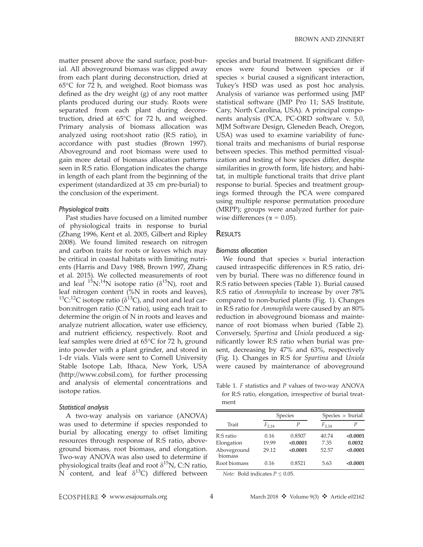matter present above the sand surface, post-burial. All aboveground biomass was clipped away from each plant during deconstruction, dried at 65°C for 72 h, and weighed. Root biomass was defined as the dry weight (g) of any root matter plants produced during our study. Roots were separated from each plant during deconstruction, dried at 65°C for 72 h, and weighed. Primary analysis of biomass allocation was analyzed using root:shoot ratio (R:S ratio), in accordance with past studies (Brown 1997). Aboveground and root biomass were used to gain more detail of biomass allocation patterns seen in R:S ratio. Elongation indicates the change in length of each plant from the beginning of the experiment (standardized at 35 cm pre-burial) to the conclusion of the experiment.

#### Physiological traits

Past studies have focused on a limited number of physiological traits in response to burial (Zhang 1996, Kent et al. 2005, Gilbert and Ripley 2008). We found limited research on nitrogen and carbon traits for roots or leaves which may be critical in coastal habitats with limiting nutrients (Harris and Davy 1988, Brown 1997, Zhang et al. 2015). We collected measurements of root and leaf  ${}^{15}N$ :<sup>14</sup>N isotope ratio ( $\delta {}^{15}N$ ), root and leaf nitrogen content (%N in roots and leaves), <sup>13</sup>C:<sup>12</sup>C isotope ratio ( $\delta$ <sup>13</sup>C), and root and leaf carbon:nitrogen ratio (C:N ratio), using each trait to determine the origin of N in roots and leaves and analyze nutrient allocation, water use efficiency, and nutrient efficiency, respectively. Root and leaf samples were dried at 65°C for 72 h, ground into powder with a plant grinder, and stored in 1-dr vials. Vials were sent to Cornell University Stable Isotope Lab, Ithaca, New York, USA (<http://www.cobsil.com>), for further processing and analysis of elemental concentrations and isotope ratios.

#### Statistical analysis

A two-way analysis on variance (ANOVA) was used to determine if species responded to burial by allocating energy to offset limiting resources through response of R:S ratio, aboveground biomass, root biomass, and elongation. Two-way ANOVA was also used to determine if physiological traits (leaf and root  $\delta^{15}N$ , C:N ratio, N content, and leaf  $\delta^{13}$ C) differed between species and burial treatment. If significant differences were found between species or if species  $\times$  burial caused a significant interaction, Tukey's HSD was used as post hoc analysis. Analysis of variance was performed using JMP statistical software (JMP Pro 11; SAS Institute, Cary, North Carolina, USA). A principal components analysis (PCA, PC-ORD software v. 5.0, MJM Software Design, Gleneden Beach, Oregon, USA) was used to examine variability of functional traits and mechanisms of burial response between species. This method permitted visualization and testing of how species differ, despite similarities in growth form, life history, and habitat, in multiple functional traits that drive plant response to burial. Species and treatment groupings formed through the PCA were compared using multiple response permutation procedure (MRPP); groups were analyzed further for pairwise differences ( $\alpha = 0.05$ ).

#### **RESULTS**

#### Biomass allocation

We found that species  $\times$  burial interaction caused intraspecific differences in R:S ratio, driven by burial. There was no difference found in R:S ratio between species (Table 1). Burial caused R:S ratio of Ammophila to increase by over 78% compared to non-buried plants (Fig. 1). Changes in R:S ratio for Ammophila were caused by an 80% reduction in aboveground biomass and maintenance of root biomass when buried (Table 2). Conversely, Spartina and Uniola produced a significantly lower R:S ratio when burial was present, decreasing by 47% and 63%, respectively (Fig. 1). Changes in R:S for Spartina and Uniola were caused by maintenance of aboveground

Table 1.  $F$  statistics and  $P$  values of two-way ANOVA for R:S ratio, elongation, irrespective of burial treatment

|                        | Species    |          | Species $\times$ burial |          |
|------------------------|------------|----------|-------------------------|----------|
| Trait                  | $F_{2,24}$ | Р        | $F_{2,24}$              | Р        |
| R:S ratio              | 0.16       | 0.8507   | 40.74                   | < 0.0001 |
| Elongation             | 19.99      | < 0.0001 | 7.35                    | 0.0032   |
| Aboveground<br>biomass | 29.12      | < 0.0001 | 52.57                   | < 0.0001 |
| Root biomass           | 0.16       | 0.8521   | 5.63                    | < 0.0001 |

Note: Bold indicates  $P \leq 0.05$ .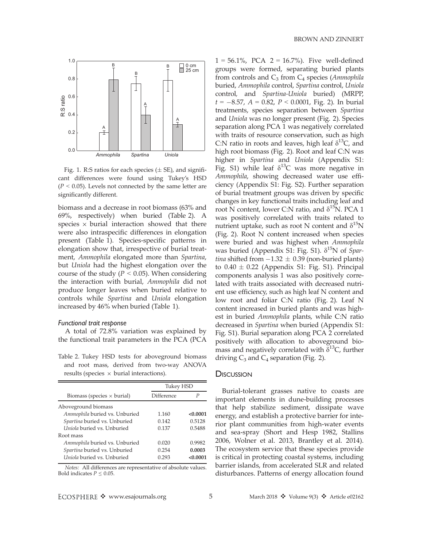

Fig. 1. R:S ratios for each species  $(\pm S E)$ , and significant differences were found using Tukey's HSD  $(P < 0.05)$ . Levels not connected by the same letter are significantly different.

biomass and a decrease in root biomass (63% and 69%, respectively) when buried (Table 2). A species  $\times$  burial interaction showed that there were also intraspecific differences in elongation present (Table 1). Species-specific patterns in elongation show that, irrespective of burial treatment, Ammophila elongated more than Spartina, but Uniola had the highest elongation over the course of the study ( $P < 0.05$ ). When considering the interaction with burial, Ammophila did not produce longer leaves when buried relative to controls while Spartina and Uniola elongation increased by 46% when buried (Table 1).

#### Functional trait response

A total of 72.8% variation was explained by the functional trait parameters in the PCA (PCA

Table 2. Tukey HSD tests for aboveground biomass and root mass, derived from two-way ANOVA results (species  $\times$  burial interactions).

|                                   | <b>Tukey HSD</b> |          |
|-----------------------------------|------------------|----------|
| Biomass (species $\times$ burial) | Difference       | Р        |
| Aboveground biomass               |                  |          |
| Ammophila buried vs. Unburied     | 1.160            | < 0.0001 |
| Spartina buried vs. Unburied      | 0.142            | 0.5128   |
| Uniola buried vs. Unburied        | 0.137            | 0.5488   |
| Root mass                         |                  |          |
| Ammophila buried vs. Unburied     | 0.020            | 0.9982   |
| Spartina buried vs. Unburied      | 0.254            | 0.0003   |
| Uniola buried vs. Unburied        | 0.293            | < 0.0001 |

Notes: All differences are representative of absolute values. Bold indicates  $P \leq 0.05$ .

 $1 = 56.1\%$ , PCA  $2 = 16.7\%$ ). Five well-defined groups were formed, separating buried plants from controls and  $C_3$  from  $C_4$  species (Ammophila buried, Ammophila control, Spartina control, Uniola control, and Spartina-Uniola buried) (MRPP,  $t = -8.57$ ,  $A = 0.82$ ,  $P < 0.0001$ , Fig. 2). In burial treatments, species separation between Spartina and Uniola was no longer present (Fig. 2). Species separation along PCA 1 was negatively correlated with traits of resource conservation, such as high C:N ratio in roots and leaves, high leaf  $\delta^{13}C$ , and high root biomass (Fig. 2). Root and leaf C:N was higher in Spartina and Uniola (Appendix S1: Fig. S1) while leaf  $\delta^{13}C$  was more negative in Ammophila, showing decreased water use efficiency (Appendix S1: Fig. S2). Further separation of burial treatment groups was driven by specific changes in key functional traits including leaf and root N content, lower C:N ratio, and  $\delta^{15}N$ . PCA 1 was positively correlated with traits related to nutrient uptake, such as root N content and  $\delta^{15}N$ (Fig. 2). Root N content increased when species were buried and was highest when Ammophila was buried (Appendix S1: Fig. S1).  $\delta^{15}N$  of Spar*tina* shifted from  $-1.32 \pm 0.39$  (non-buried plants) to  $0.40 \pm 0.22$  (Appendix S1: Fig. S1). Principal components analysis 1 was also positively correlated with traits associated with decreased nutrient use efficiency, such as high leaf N content and low root and foliar C:N ratio (Fig. 2). Leaf N content increased in buried plants and was highest in buried Ammophila plants, while C:N ratio decreased in Spartina when buried (Appendix S1: Fig. S1). Burial separation along PCA 2 correlated positively with allocation to aboveground biomass and negatively correlated with  $\delta^{13}C$ , further driving  $C_3$  and  $C_4$  separation (Fig. 2).

#### **DISCUSSION**

Burial-tolerant grasses native to coasts are important elements in dune-building processes that help stabilize sediment, dissipate wave energy, and establish a protective barrier for interior plant communities from high-water events and sea-spray (Short and Hesp 1982, Stallins 2006, Wolner et al. 2013, Brantley et al. 2014). The ecosystem service that these species provide is critical in protecting coastal systems, including barrier islands, from accelerated SLR and related disturbances. Patterns of energy allocation found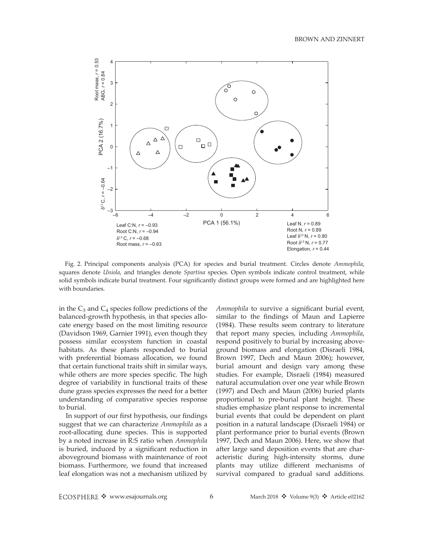

Fig. 2. Principal components analysis (PCA) for species and burial treatment. Circles denote Ammophila, squares denote Uniola, and triangles denote Spartina species. Open symbols indicate control treatment, while solid symbols indicate burial treatment. Four significantly distinct groups were formed and are highlighted here with boundaries.

in the  $C_3$  and  $C_4$  species follow predictions of the balanced-growth hypothesis, in that species allocate energy based on the most limiting resource (Davidson 1969, Garnier 1991), even though they possess similar ecosystem function in coastal habitats. As these plants responded to burial with preferential biomass allocation, we found that certain functional traits shift in similar ways, while others are more species specific. The high degree of variability in functional traits of these dune grass species expresses the need for a better understanding of comparative species response to burial.

In support of our first hypothesis, our findings suggest that we can characterize Ammophila as a root-allocating dune species. This is supported by a noted increase in R:S ratio when Ammophila is buried, induced by a significant reduction in aboveground biomass with maintenance of root biomass. Furthermore, we found that increased leaf elongation was not a mechanism utilized by Ammophila to survive a significant burial event, similar to the findings of Maun and Lapierre (1984). These results seem contrary to literature that report many species, including Ammophila, respond positively to burial by increasing aboveground biomass and elongation (Disraeli 1984, Brown 1997, Dech and Maun 2006); however, burial amount and design vary among these studies. For example, Disraeli (1984) measured natural accumulation over one year while Brown (1997) and Dech and Maun (2006) buried plants proportional to pre-burial plant height. These studies emphasize plant response to incremental burial events that could be dependent on plant position in a natural landscape (Disraeli 1984) or plant performance prior to burial events (Brown 1997, Dech and Maun 2006). Here, we show that after large sand deposition events that are characteristic during high-intensity storms, dune plants may utilize different mechanisms of survival compared to gradual sand additions.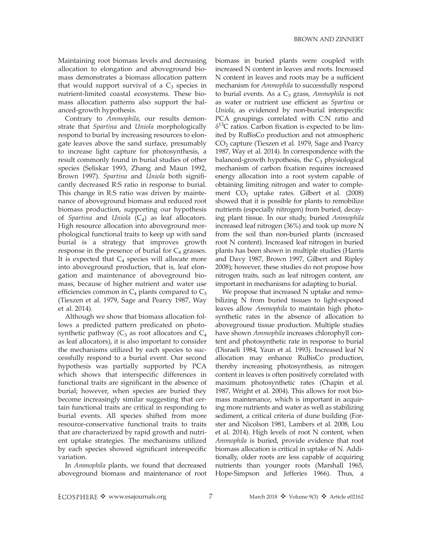Maintaining root biomass levels and decreasing allocation to elongation and aboveground biomass demonstrates a biomass allocation pattern that would support survival of a  $C_3$  species in nutrient-limited coastal ecosystems. These biomass allocation patterns also support the balanced-growth hypothesis.

Contrary to Ammophila, our results demonstrate that Spartina and Uniola morphologically respond to burial by increasing resources to elongate leaves above the sand surface, presumably to increase light capture for photosynthesis, a result commonly found in burial studies of other species (Seliskar 1993, Zhang and Maun 1992, Brown 1997). Spartina and Uniola both significantly decreased R:S ratio in response to burial. This change in R:S ratio was driven by maintenance of aboveground biomass and reduced root biomass production, supporting our hypothesis of *Spartina* and *Uniola*  $(C_4)$  as leaf allocators. High resource allocation into aboveground morphological functional traits to keep up with sand burial is a strategy that improves growth response in the presence of burial for  $C_4$  grasses. It is expected that  $C_4$  species will allocate more into aboveground production, that is, leaf elongation and maintenance of aboveground biomass, because of higher nutrient and water use efficiencies common in  $C_4$  plants compared to  $C_3$ (Tieszen et al. 1979, Sage and Pearcy 1987, Way et al. 2014).

Although we show that biomass allocation follows a predicted pattern predicated on photosynthetic pathway ( $C_3$  as root allocators and  $C_4$ as leaf allocators), it is also important to consider the mechanisms utilized by each species to successfully respond to a burial event. Our second hypothesis was partially supported by PCA which shows that interspecific differences in functional traits are significant in the absence of burial; however, when species are buried they become increasingly similar suggesting that certain functional traits are critical in responding to burial events. All species shifted from more resource-conservative functional traits to traits that are characterized by rapid growth and nutrient uptake strategies. The mechanisms utilized by each species showed significant interspecific variation.

In Ammophila plants, we found that decreased aboveground biomass and maintenance of root

biomass in buried plants were coupled with increased N content in leaves and roots. Increased N content in leaves and roots may be a sufficient mechanism for Ammophila to successfully respond to burial events. As a  $C_3$  grass, Ammophila is not as water or nutrient use efficient as Spartina or Uniola, as evidenced by non-burial interspecific PCA groupings correlated with C:N ratio and  $\delta^{13}$ C ratios. Carbon fixation is expected to be limited by RuBisCo production and not atmospheric  $CO<sub>2</sub>$  capture (Tieszen et al. 1979, Sage and Pearcy 1987, Way et al. 2014). In correspondence with the balanced-growth hypothesis, the  $C_3$  physiological mechanism of carbon fixation requires increased energy allocation into a root system capable of obtaining limiting nitrogen and water to complement  $CO<sub>2</sub>$  uptake rates. Gilbert et al. (2008) showed that it is possible for plants to remobilize nutrients (especially nitrogen) from buried, decaying plant tissue. In our study, buried Ammophila increased leaf nitrogen (36%) and took up more N from the soil than non-buried plants (increased root N content). Increased leaf nitrogen in buried plants has been shown in multiple studies (Harris and Davy 1987, Brown 1997, Gilbert and Ripley 2008); however, these studies do not propose how nitrogen traits, such as leaf nitrogen content, are important in mechanisms for adapting to burial.

We propose that increased N uptake and remobilizing N from buried tissues to light-exposed leaves allow Ammophila to maintain high photosynthetic rates in the absence of allocation to aboveground tissue production. Multiple studies have shown Ammophila increases chlorophyll content and photosynthetic rate in response to burial (Disraeli 1984, Yaun et al. 1993). Increased leaf N allocation may enhance RuBisCo production, thereby increasing photosynthesis, as nitrogen content in leaves is often positively correlated with maximum photosynthetic rates (Chapin et al. 1987, Wright et al. 2004). This allows for root biomass maintenance, which is important in acquiring more nutrients and water as well as stabilizing sediment, a critical criteria of dune building (Forster and Nicolson 1981, Lambers et al. 2008, Lou et al. 2014). High levels of root N content, when Ammophila is buried, provide evidence that root biomass allocation is critical in uptake of N. Additionally, older roots are less capable of acquiring nutrients than younger roots (Marshall 1965, Hope-Simpson and Jefferies 1966). Thus, a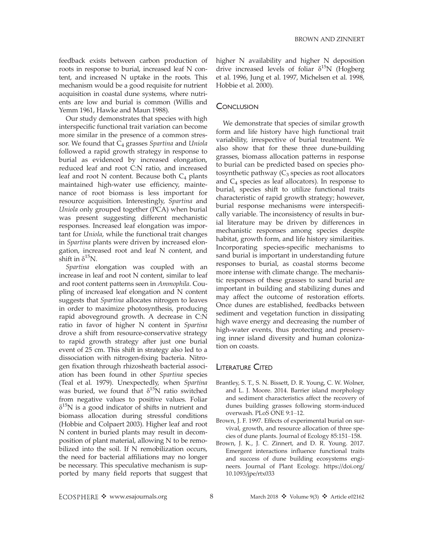feedback exists between carbon production of roots in response to burial, increased leaf N content, and increased N uptake in the roots. This mechanism would be a good requisite for nutrient acquisition in coastal dune systems, where nutrients are low and burial is common (Willis and Yemm 1961, Hawke and Maun 1988).

Our study demonstrates that species with high interspecific functional trait variation can become more similar in the presence of a common stressor. We found that  $C_4$  grasses Spartina and Uniola followed a rapid growth strategy in response to burial as evidenced by increased elongation, reduced leaf and root C:N ratio, and increased leaf and root N content. Because both  $C_4$  plants maintained high-water use efficiency, maintenance of root biomass is less important for resource acquisition. Interestingly, Spartina and Uniola only grouped together (PCA) when burial was present suggesting different mechanistic responses. Increased leaf elongation was important for Uniola, while the functional trait changes in Spartina plants were driven by increased elongation, increased root and leaf N content, and shift in  $\delta^{15}N$ .

Spartina elongation was coupled with an increase in leaf and root N content, similar to leaf and root content patterns seen in Ammophila. Coupling of increased leaf elongation and N content suggests that *Spartina* allocates nitrogen to leaves in order to maximize photosynthesis, producing rapid aboveground growth. A decrease in C:N ratio in favor of higher N content in Spartina drove a shift from resource-conservative strategy to rapid growth strategy after just one burial event of 25 cm. This shift in strategy also led to a dissociation with nitrogen-fixing bacteria. Nitrogen fixation through rhizosheath bacterial association has been found in other Spartina species (Teal et al. 1979). Unexpectedly, when Spartina was buried, we found that  $\delta^{15}N$  ratio switched from negative values to positive values. Foliar  $\delta^{15}N$  is a good indicator of shifts in nutrient and biomass allocation during stressful conditions (Hobbie and Colpaert 2003). Higher leaf and root N content in buried plants may result in decomposition of plant material, allowing N to be remobilized into the soil. If N remobilization occurs, the need for bacterial affiliations may no longer be necessary. This speculative mechanism is supported by many field reports that suggest that higher N availability and higher N deposition drive increased levels of foliar  $\delta^{15}N$  (Hogberg et al. 1996, Jung et al. 1997, Michelsen et al. 1998, Hobbie et al. 2000).

### **CONCLUSION**

We demonstrate that species of similar growth form and life history have high functional trait variability, irrespective of burial treatment. We also show that for these three dune-building grasses, biomass allocation patterns in response to burial can be predicted based on species photosynthetic pathway  $(C_3$  species as root allocators and  $C_4$  species as leaf allocators). In response to burial, species shift to utilize functional traits characteristic of rapid growth strategy; however, burial response mechanisms were interspecifically variable. The inconsistency of results in burial literature may be driven by differences in mechanistic responses among species despite habitat, growth form, and life history similarities. Incorporating species-specific mechanisms to sand burial is important in understanding future responses to burial, as coastal storms become more intense with climate change. The mechanistic responses of these grasses to sand burial are important in building and stabilizing dunes and may affect the outcome of restoration efforts. Once dunes are established, feedbacks between sediment and vegetation function in dissipating high wave energy and decreasing the number of high-water events, thus protecting and preserving inner island diversity and human colonization on coasts.

### **LITERATURE CITED**

- Brantley, S. T., S. N. Bissett, D. R. Young, C. W. Wolner, and L. J. Moore. 2014. Barrier island morphology and sediment characteristics affect the recovery of dunes building grasses following storm-induced overwash. PLoS ONE 9:1–12.
- Brown, J. F. 1997. Effects of experimental burial on survival, growth, and resource allocation of three species of dune plants. Journal of Ecology 85:151–158.
- Brown, J. K., J. C. Zinnert, and D. R. Young. 2017. Emergent interactions influence functional traits and success of dune building ecosystems engineers. Journal of Plant Ecology. [https://doi.org/](https://doi.org/10.1093/jpe/rtx033) [10.1093/jpe/rtx033](https://doi.org/10.1093/jpe/rtx033)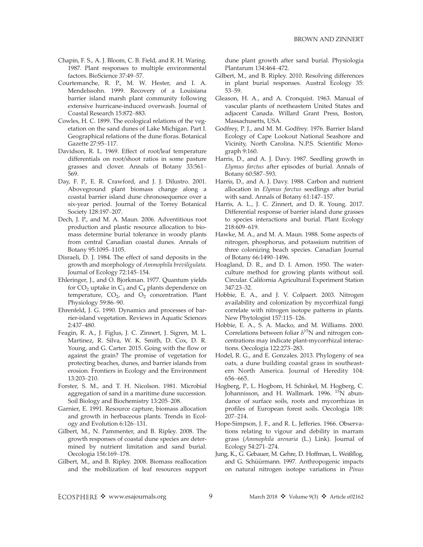- Chapin, F. S., A. J. Bloom, C. B. Field, and R. H. Waring. 1987. Plant responses to multiple environmental factors. BioScience 37:49–57.
- Courtemanche, R. P., M. W. Hester, and I. A. Mendelssohn. 1999. Recovery of a Louisiana barrier island marsh plant community following extensive hurricane-induced overwash. Journal of Coastal Research 15:872–883.
- Cowles, H. C. 1899. The ecological relations of the vegetation on the sand dunes of Lake Michigan. Part I. Geographical relations of the dune floras. Botanical Gazette 27:95–117.
- Davidson, R. L. 1969. Effect of root/leaf temperature differentials on root/shoot ratios in some pasture grasses and clover. Annals of Botany 33:561– 569.
- Day, F. P., E. R. Crawford, and J. J. Dilustro. 2001. Aboveground plant biomass change along a coastal barrier island dune chronosequence over a six-year period. Journal of the Torrey Botanical Society 128:197–207.
- Dech, J. P., and M. A. Maun. 2006. Adventitious root production and plastic resource allocation to biomass determine burial tolerance in woody plants from central Canadian coastal dunes. Annals of Botany 95:1095–1105.
- Disraeli, D. J. 1984. The effect of sand deposits in the growth and morphology of Ammophila breviligulata. Journal of Ecology 72:145–154.
- Ehleringer, J., and O. Bjorkman. 1977. Quantum yields for  $CO<sub>2</sub>$  uptake in  $C<sub>3</sub>$  and  $C<sub>4</sub>$  plants dependence on temperature,  $CO<sub>2</sub>$ , and  $O<sub>2</sub>$  concentration. Plant Physiology 59:86–90.
- Ehrenfeld, J. G. 1990. Dynamics and processes of barrier-island vegetation. Reviews in Aquatic Sciences 2:437–480.
- Feagin, R. A., J. Figlus, J. C. Zinnert, J. Sigren, M. L. Martinez, R. Silva, W. K. Smith, D. Cox, D. R. Young, and G. Carter. 2015. Going with the flow or against the grain? The promise of vegetation for protecting beaches, dunes, and barrier islands from erosion. Frontiers in Ecology and the Environment 13:203–210.
- Forster, S. M., and T. H. Nicolson. 1981. Microbial aggregation of sand in a maritime dune succession. Soil Biology and Biochemistry 13:205–208.
- Garnier, E. 1991. Resource capture, biomass allocation and growth in herbaceous plants. Trends in Ecology and Evolution 6:126–131.
- Gilbert, M., N. Pammenter, and B. Ripley. 2008. The growth responses of coastal dune species are determined by nutrient limitation and sand burial. Oecologia 156:169–178.
- Gilbert, M., and B. Ripley. 2008. Biomass reallocation and the mobilization of leaf resources support

dune plant growth after sand burial. Physiologia Plantarum 134:464–472.

- Gilbert, M., and B. Ripley. 2010. Resolving differences in plant burial responses. Austral Ecology 35: 53–59.
- Gleason, H. A., and A. Cronquist. 1963. Manual of vascular plants of northeastern United States and adjacent Canada. Willard Grant Press, Boston, Massachusetts, USA.
- Godfrey, P. J., and M. M. Godfrey. 1976. Barrier Island Ecology of Cape Lookout National Seashore and Vicinity, North Carolina. N.P.S. Scientific Monograph 9:160.
- Harris, D., and A. J. Davy. 1987. Seedling growth in Elymus farctus after episodes of burial. Annals of Botany 60:587–593.
- Harris, D., and A. J. Davy. 1988. Carbon and nutrient allocation in Elymus farctus seedlings after burial with sand. Annals of Botany 61:147–157.
- Harris, A. L., J. C. Zinnert, and D. R. Young. 2017. Differential response of barrier island dune grasses to species interactions and burial. Plant Ecology 218:609–619.
- Hawke, M. A., and M. A. Maun. 1988. Some aspects of nitrogen, phosphorus, and potassium nutrition of three colonizing beach species. Canadian Journal of Botany 66:1490–1496.
- Hoagland, D. R., and D. I. Arnon. 1950. The waterculture method for growing plants without soil. Circular. California Agricultural Experiment Station 347:23–32.
- Hobbie, E. A., and J. V. Colpaert. 2003. Nitrogen availability and colonization by mycorrhizal fungi correlate with nitrogen isotope patterns in plants. New Phytologist 157:115–126.
- Hobbie, E. A., S. A. Macko, and M. Williams. 2000. Correlations between foliar  $\delta^{15}N$  and nitrogen concentrations may indicate plant-mycorrhizal interactions. Oecologia 122:273–283.
- Hodel, R. G., and E. Gonzales. 2013. Phylogeny of sea oats, a dune building coastal grass in southeastern North America. Journal of Heredity 104: 656–665.
- Hogberg, P., L. Hogbom, H. Schinkel, M. Hogberg, C. Johannisson, and H. Wallmark. 1996. <sup>15</sup>N abundance of surface soils, roots and mycorrhizas in profiles of European forest soils. Oecologia 108: 207–214.
- Hope-Simpson, J. F., and R. L. Jefferies. 1966. Observations relating to vigour and debility in marram grass (Ammophila arenaria (L.) Link). Journal of Ecology 54:271–274.
- Jung, K., G. Gebauer, M. Gehre, D. Hoffman, L. Weißflog, and G. Schüürmann. 1997. Anthropogenic impacts on natural nitrogen isotope variations in Pinus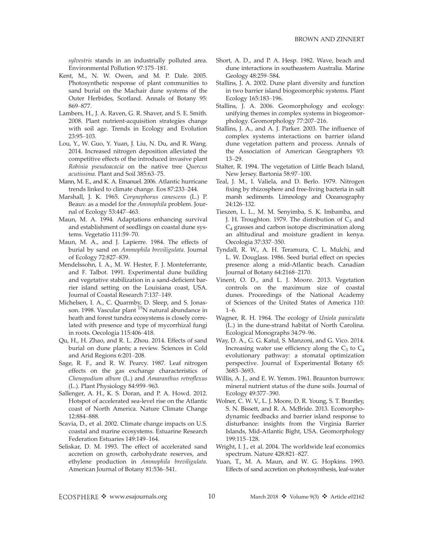sylvestris stands in an industrially polluted area. Environmental Pollution 97:175–181.

- Kent, M., N. W. Owen, and M. P. Dale. 2005. Photosynthetic response of plant communities to sand burial on the Machair dune systems of the Outer Herbides, Scotland. Annals of Botany 95: 869–877.
- Lambers, H., J. A. Raven, G. R. Shaver, and S. E. Smith. 2008. Plant nutrient-acquisition strategies change with soil age. Trends in Ecology and Evolution 23:95–103.
- Lou, Y., W. Guo, Y. Yuan, J. Liu, N. Du, and R. Wang. 2014. Increased nitrogen deposition alleviated the competitive effects of the introduced invasive plant Robinia pseudoacacia on the native tree Quercus acutissima. Plant and Soil 385:63–75.
- Mann, M. E., and K. A. Emanuel. 2006. Atlantic hurricane trends linked to climate change. Eos 87:233–244.
- Marshall, J. K. 1965. Corynephorus canescens (L.) P. Beauv. as a model for the Ammophila problem. Journal of Ecology 53:447–463.
- Maun, M. A. 1994. Adaptations enhancing survival and establishment of seedlings on coastal dune systems. Vegetatio 111:59–70.
- Maun, M. A., and J. Lapierre. 1984. The effects of burial by sand on Ammophila breviligulata. Journal of Ecology 72:827–839.
- Mendelssohn, I. A., M. W. Hester, F. J. Monteferrante, and F. Talbot. 1991. Experimental dune building and vegetative stabilization in a sand-deficient barrier island setting on the Louisiana coast, USA. Journal of Coastal Research 7:137–149.
- Michelsen, I. A., C. Quarmby, D. Sleep, and S. Jonasson. 1998. Vascular plant <sup>15</sup>N natural abundance in heath and forest tundra ecosystems is closely correlated with presence and type of mycorrhizal fungi in roots. Oecologia 115:406–418.
- Qu, H., H. Zhao, and R. L. Zhou. 2014. Effects of sand burial on dune plants; a review. Sciences in Cold and Arid Regions 6:201–208.
- Sage, R. F., and R. W. Pearcy. 1987. Leaf nitrogen effects on the gas exchange characteristics of Chenopodium album (L.) and Amaranthus retroflexus (L.). Plant Physiology 84:959–963.
- Sallenger, A. H., K. S. Doran, and P. A. Howd. 2012. Hotspot of accelerated sea-level rise on the Atlantic coast of North America. Nature Climate Change 12:884–888.
- Scavia, D., et al. 2002. Climate change impacts on U.S. coastal and marine ecosystems. Estuarine Research Federation Estuaries 149:149–164.
- Seliskar, D. M. 1993. The effect of accelerated sand accretion on growth, carbohydrate reserves, and ethylene production in Ammophila breviligulata. American Journal of Botany 81:536–541.
- Short, A. D., and P. A. Hesp. 1982. Wave, beach and dune interactions in southeastern Australia. Marine Geology 48:259–584.
- Stallins, J. A. 2002. Dune plant diversity and function in two barrier island biogeomorphic systems. Plant Ecology 165:183–196.
- Stallins, J. A. 2006. Geomorphology and ecology: unifying themes in complex systems in biogeomorphology. Geomorphology 77:207–216.
- Stallins, J. A., and A. J. Parker. 2003. The influence of complex systems interactions on barrier island dune vegetation pattern and process. Annals of the Association of American Geographers 93: 13–29.
- Stalter, R. 1994. The vegetation of Little Beach Island, New Jersey. Bartonia 58:97–100.
- Teal, J. M., I. Valiela, and D. Berlo. 1979. Nitrogen fixing by rhizosphere and free-living bacteria in salt marsh sediments. Limnology and Oceanography 24:126–132.
- Tieszen, L. L., M. M. Senyimba, S. K. Imbamba, and J. H. Troughton. 1979. The distribution of  $C_3$  and  $C_4$  grasses and carbon isotope discrimination along an altitudinal and moisture gradient in kenya. Oecologia 37:337–350.
- Tyndall, R. W., A. H. Teramura, C. L. Mulchi, and L. W. Douglass. 1986. Seed burial effect on species presence along a mid-Atlantic beach. Canadian Journal of Botany 64:2168–2170.
- Vinent, O. D., and L. J. Moore. 2013. Vegetation controls on the maximum size of coastal dunes. Proceedings of the National Academy of Sciences of the United States of America 110:  $1–6.$
- Wagner, R. H. 1964. The ecology of Uniola paniculata (L.) in the dune-strand habitat of North Carolina. Ecological Monographs 34:79–96.
- Way, D. A., G. G. Katul, S. Manzoni, and G. Vico. 2014. Increasing water use efficiency along the  $C_3$  to  $C_4$ evolutionary pathway: a stomatal optimization perspective. Journal of Experimental Botany 65: 3683–3693.
- Willis, A. J., and E. W. Yemm. 1961. Braunton burrows: mineral nutrient status of the dune soils. Journal of Ecology 49:377–390.
- Wolner, C. W. V., L. J. Moore, D. R. Young, S. T. Brantley, S. N. Bissett, and R. A. McBride. 2013. Ecomorphodynamic feedbacks and barrier island response to disturbance: insights from the Virginia Barrier Islands, Mid-Atlantic Bight, USA. Geomorphology 199:115–128.
- Wright, I. J., et al. 2004. The worldwide leaf economics spectrum. Nature 428:821–827.
- Yuan, T., M. A. Maun, and W. G. Hopkins. 1993. Effects of sand accretion on photosynthesis, leaf-water